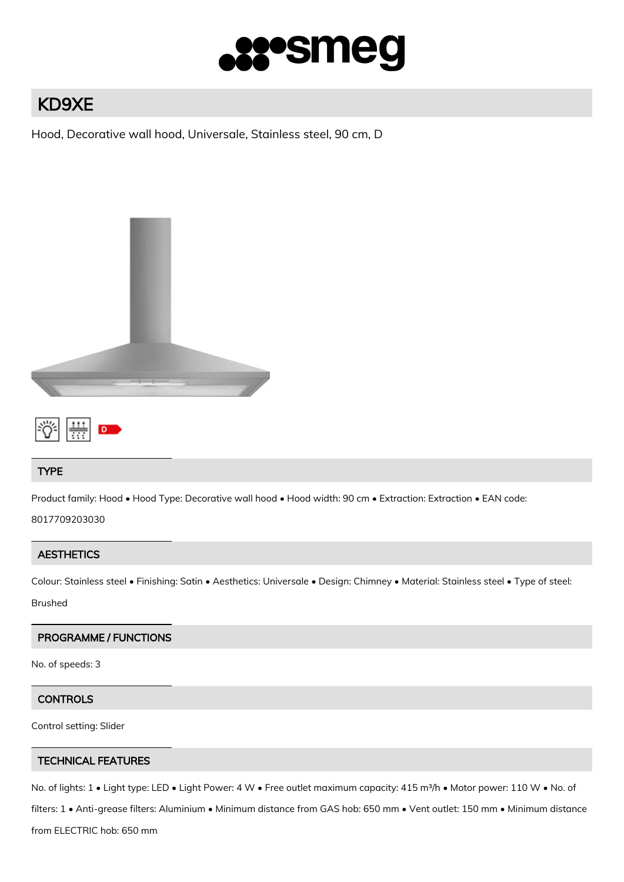

# KD9XE

Hood, Decorative wall hood, Universale, Stainless steel, 90 cm, D





## TYPE

Product family: Hood • Hood Type: Decorative wall hood • Hood width: 90 cm • Extraction: Extraction • EAN code:

8017709203030

## **AESTHETICS**

Colour: Stainless steel • Finishing: Satin • Aesthetics: Universale • Design: Chimney • Material: Stainless steel • Type of steel:

Brushed

## PROGRAMME / FUNCTIONS

No. of speeds: 3

## **CONTROLS**

Control setting: Slider

## TECHNICAL FEATURES

No. of lights: 1 • Light type: LED • Light Power: 4 W • Free outlet maximum capacity: 415 m<sup>3</sup>/h • Motor power: 110 W • No. of

filters: 1 • Anti-grease filters: Aluminium • Minimum distance from GAS hob: 650 mm • Vent outlet: 150 mm • Minimum distance

from ELECTRIC hob: 650 mm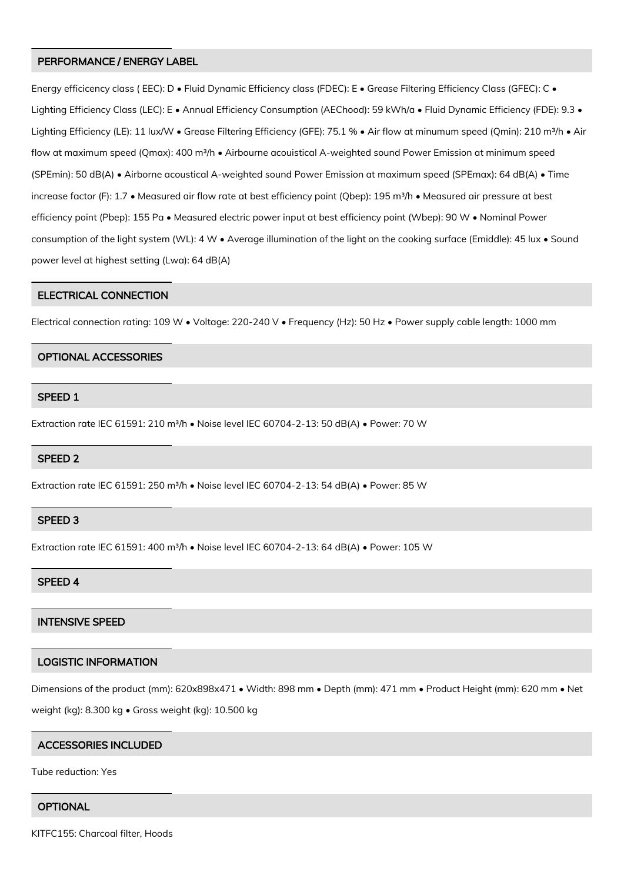#### PERFORMANCE / ENERGY LABEL

Energy efficicency class (EEC): D · Fluid Dynamic Efficiency class (FDEC): E · Grease Filtering Efficiency Class (GFEC): C · Lighting Efficiency Class (LEC): E • Annual Efficiency Consumption (AEChood): 59 kWh/a • Fluid Dynamic Efficiency (FDE): 9.3 • Lighting Efficiency (LE): 11 lux/W • Grease Filtering Efficiency (GFE): 75.1 % • Air flow at minumum speed (Qmin): 210 m<sup>3</sup>/h • Air flow at maximum speed (Qmax): 400 m<sup>3</sup>/h • Airbourne acouistical A-weighted sound Power Emission at minimum speed (SPEmin): 50 dB(A) • Airborne acoustical A-weighted sound Power Emission at maximum speed (SPEmax): 64 dB(A) • Time increase factor (F): 1.7 • Measured air flow rate at best efficiency point (Qbep): 195 m<sup>3</sup>/h • Measured air pressure at best efficiency point (Pbep): 155 Pa • Measured electric power input at best efficiency point (Wbep): 90 W • Nominal Power consumption of the light system (WL): 4 W • Average illumination of the light on the cooking surface (Emiddle): 45 lux • Sound power level at highest setting (Lwa): 64 dB(A)

#### ELECTRICAL CONNECTION

Electrical connection rating: 109 W • Voltage: 220-240 V • Frequency (Hz): 50 Hz • Power supply cable length: 1000 mm

#### OPTIONAL ACCESSORIES

#### SPEED 1

Extraction rate IEC 61591: 210 m³/h • Noise level IEC 60704-2-13: 50 dB(A) • Power: 70 W

#### SPEED 2

Extraction rate IEC 61591: 250 m³/h • Noise level IEC 60704-2-13: 54 dB(A) • Power: 85 W

#### SPEED 3

Extraction rate IEC 61591: 400 m<sup>3</sup>/h • Noise level IEC 60704-2-13: 64 dB(A) • Power: 105 W

#### SPEED 4

#### INTENSIVE SPEED

### LOGISTIC INFORMATION

Dimensions of the product (mm): 620x898x471 • Width: 898 mm • Depth (mm): 471 mm • Product Height (mm): 620 mm • Net

weight (kg): 8.300 kg • Gross weight (kg): 10.500 kg

#### ACCESSORIES INCLUDED

Tube reduction: Yes

#### **OPTIONAL**

KITFC155: Charcoal filter, Hoods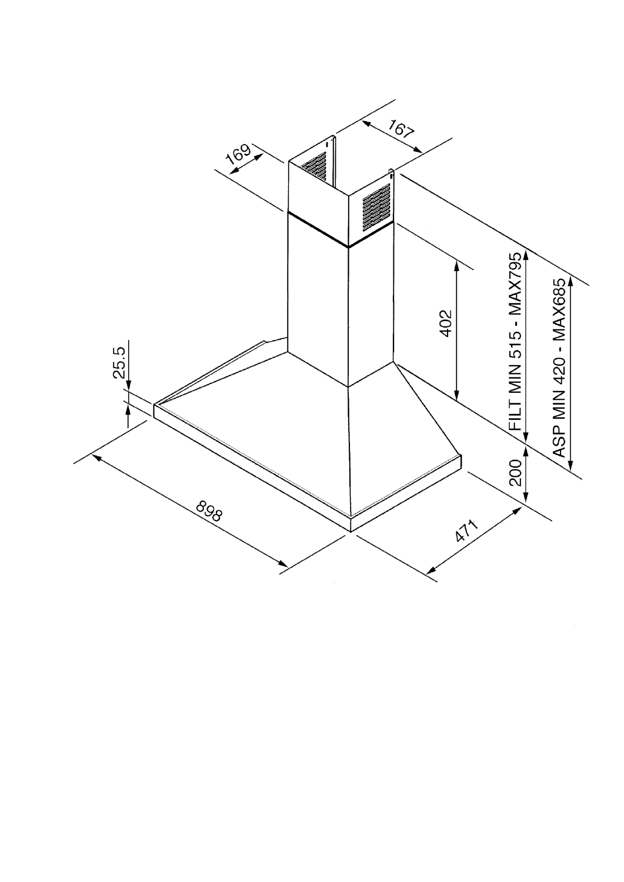